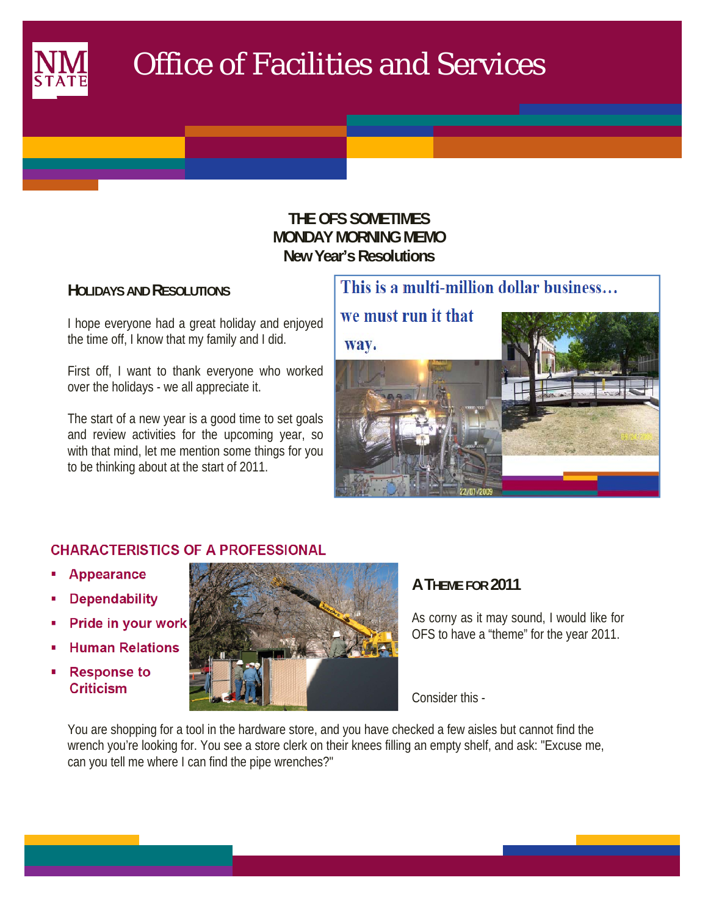

 $\mathcal{L}(\mathcal{L})$ 

# Office of Facilities and Services

## **THE OFS SOMETIMES MONDAY MORNING MEMO New Year's Resolutions**

## **HOLIDAYS AND RESOLUTIONS**

I hope everyone had a great holiday and enjoyed the time off, I know that my family and I did.

First off, I want to thank everyone who worked over the holidays - we all appreciate it.

The start of a new year is a good time to set goals and review activities for the upcoming year, so with that mind, let me mention some things for you to be thinking about at the start of 2011.



## **CHARACTERISTICS OF A PROFESSIONAL**

- **Appearance**
- **Dependability**
- Pride in your work
- **Human Relations**
- **Response to Criticism**



## **A THEME FOR 2011**

As corny as it may sound, I would like for OFS to have a "theme" for the year 2011.

Consider this -

You are shopping for a tool in the hardware store, and you have checked a few aisles but cannot find the wrench you're looking for. You see a store clerk on their knees filling an empty shelf, and ask: "Excuse me, can you tell me where I can find the pipe wrenches?"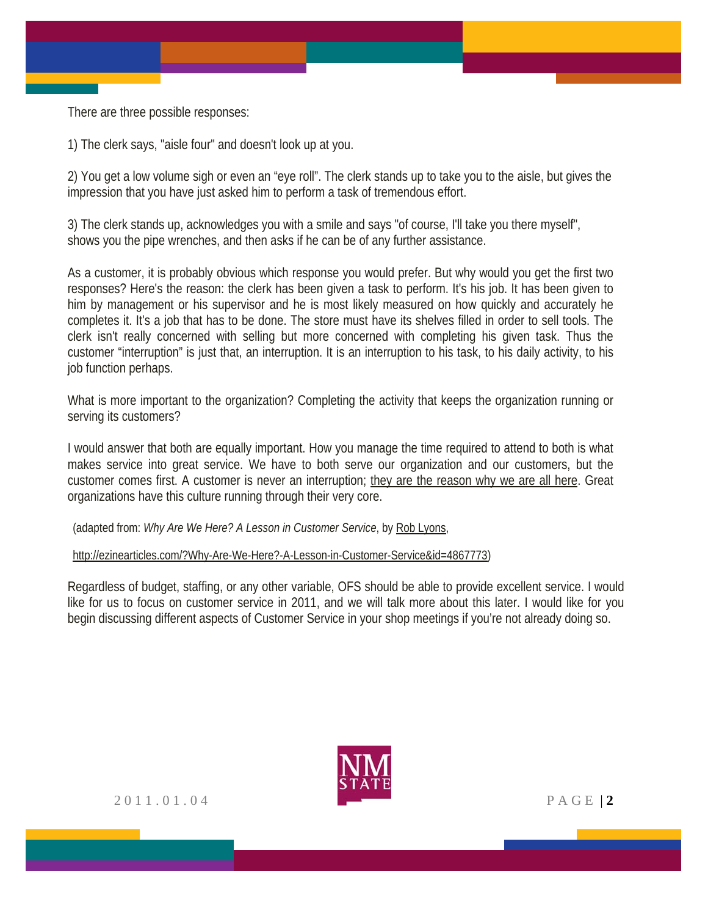There are three possible responses:

1) The clerk says, "aisle four" and doesn't look up at you.

2) You get a low volume sigh or even an "eye roll". The clerk stands up to take you to the aisle, but gives the impression that you have just asked him to perform a task of tremendous effort.

3) The clerk stands up, acknowledges you with a smile and says "of course, I'll take you there myself", shows you the pipe wrenches, and then asks if he can be of any further assistance.

As a customer, it is probably obvious which response you would prefer. But why would you get the first two responses? Here's the reason: the clerk has been given a task to perform. It's his job. It has been given to him by management or his supervisor and he is most likely measured on how quickly and accurately he completes it. It's a job that has to be done. The store must have its shelves filled in order to sell tools. The clerk isn't really concerned with selling but more concerned with completing his given task. Thus the customer "interruption" is just that, an interruption. It is an interruption to his task, to his daily activity, to his job function perhaps.

What is more important to the organization? Completing the activity that keeps the organization running or serving its customers?

I would answer that both are equally important. How you manage the time required to attend to both is what makes service into great service. We have to both serve our organization and our customers, but the customer comes first. A customer is never an interruption; they are the reason why we are all here. Great organizations have this culture running through their very core.

(adapted from: *Why Are We Here? A Lesson in Customer Service*, by Rob Lyons,

http://ezinearticles.com/?Why-Are-We-Here?-A-Lesson-in-Customer-Service&id=4867773)

Regardless of budget, staffing, or any other variable, OFS should be able to provide excellent service. I would like for us to focus on customer service in 2011, and we will talk more about this later. I would like for you begin discussing different aspects of Customer Service in your shop meetings if you're not already doing so.

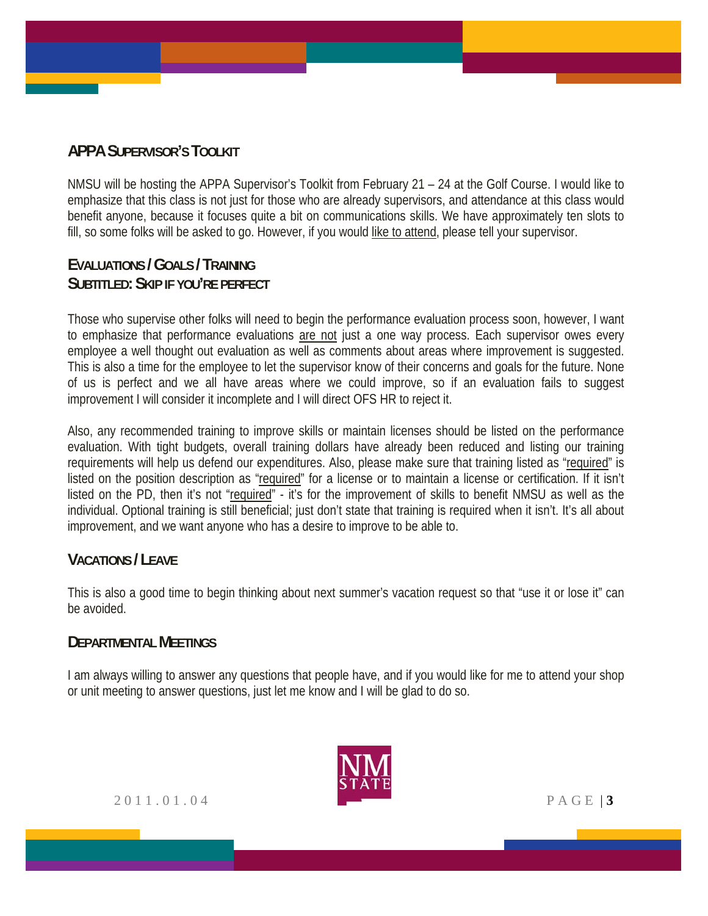## **APPA SUPERVISOR'S TOOLKIT**

NMSU will be hosting the APPA Supervisor's Toolkit from February 21 – 24 at the Golf Course. I would like to emphasize that this class is not just for those who are already supervisors, and attendance at this class would benefit anyone, because it focuses quite a bit on communications skills. We have approximately ten slots to fill, so some folks will be asked to go. However, if you would like to attend, please tell your supervisor.

## **EVALUATIONS / GOALS / TRAINING SUBTITLED: SKIP IF YOU'RE PERFECT**

Those who supervise other folks will need to begin the performance evaluation process soon, however, I want to emphasize that performance evaluations are not just a one way process. Each supervisor owes every employee a well thought out evaluation as well as comments about areas where improvement is suggested. This is also a time for the employee to let the supervisor know of their concerns and goals for the future. None of us is perfect and we all have areas where we could improve, so if an evaluation fails to suggest improvement I will consider it incomplete and I will direct OFS HR to reject it.

Also, any recommended training to improve skills or maintain licenses should be listed on the performance evaluation. With tight budgets, overall training dollars have already been reduced and listing our training requirements will help us defend our expenditures. Also, please make sure that training listed as "required" is listed on the position description as "required" for a license or to maintain a license or certification. If it isn't listed on the PD, then it's not "required" - it's for the improvement of skills to benefit NMSU as well as the individual. Optional training is still beneficial; just don't state that training is required when it isn't. It's all about improvement, and we want anyone who has a desire to improve to be able to.

## **VACATIONS / LEAVE**

This is also a good time to begin thinking about next summer's vacation request so that "use it or lose it" can be avoided.

#### **DEPARTMENTAL MEETINGS**

I am always willing to answer any questions that people have, and if you would like for me to attend your shop or unit meeting to answer questions, just let me know and I will be glad to do so.



2011.01.04 PAGE | **3**